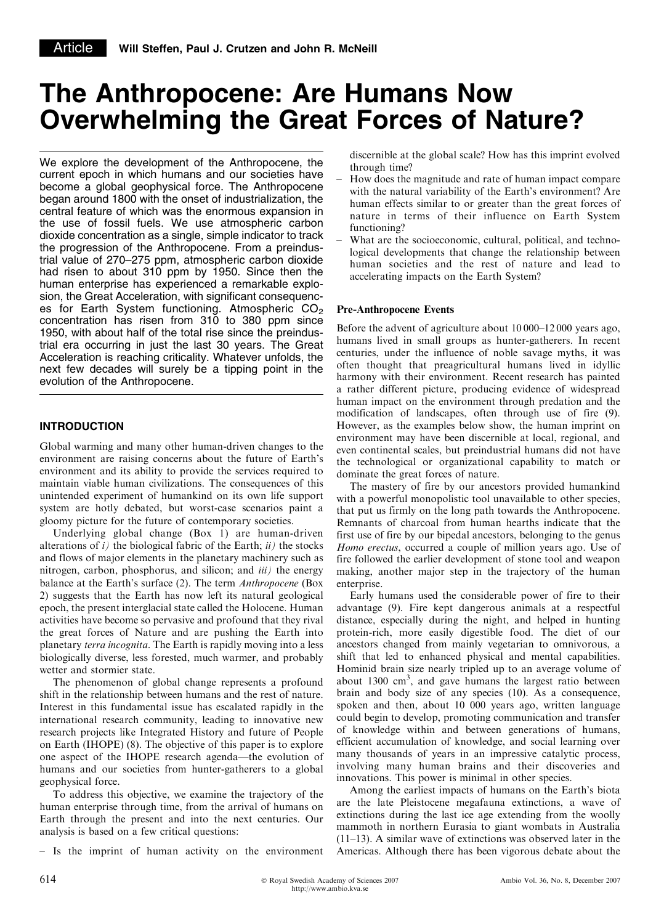# The Anthropocene: Are Humans Now Overwhelming the Great Forces of Nature?

We explore the development of the Anthropocene, the current epoch in which humans and our societies have become a global geophysical force. The Anthropocene began around 1800 with the onset of industrialization, the central feature of which was the enormous expansion in the use of fossil fuels. We use atmospheric carbon dioxide concentration as a single, simple indicator to track the progression of the Anthropocene. From a preindustrial value of 270–275 ppm, atmospheric carbon dioxide had risen to about 310 ppm by 1950. Since then the human enterprise has experienced a remarkable explosion, the Great Acceleration, with significant consequences for Earth System functioning. Atmospheric CO<sub>2</sub> concentration has risen from 310 to 380 ppm since 1950, with about half of the total rise since the preindustrial era occurring in just the last 30 years. The Great Acceleration is reaching criticality. Whatever unfolds, the next few decades will surely be a tipping point in the evolution of the Anthropocene.

### INTRODUCTION

Global warming and many other human-driven changes to the environment are raising concerns about the future of Earth's environment and its ability to provide the services required to maintain viable human civilizations. The consequences of this unintended experiment of humankind on its own life support system are hotly debated, but worst-case scenarios paint a gloomy picture for the future of contemporary societies.

Underlying global change (Box 1) are human-driven alterations of  $i$ ) the biological fabric of the Earth;  $ii$ ) the stocks and flows of major elements in the planetary machinery such as nitrogen, carbon, phosphorus, and silicon; and  $iii$ ) the energy balance at the Earth's surface (2). The term Anthropocene (Box 2) suggests that the Earth has now left its natural geological epoch, the present interglacial state called the Holocene. Human activities have become so pervasive and profound that they rival the great forces of Nature and are pushing the Earth into planetary terra incognita. The Earth is rapidly moving into a less biologically diverse, less forested, much warmer, and probably wetter and stormier state.

The phenomenon of global change represents a profound shift in the relationship between humans and the rest of nature. Interest in this fundamental issue has escalated rapidly in the international research community, leading to innovative new research projects like Integrated History and future of People on Earth (IHOPE) (8). The objective of this paper is to explore one aspect of the IHOPE research agenda—the evolution of humans and our societies from hunter-gatherers to a global geophysical force.

To address this objective, we examine the trajectory of the human enterprise through time, from the arrival of humans on Earth through the present and into the next centuries. Our analysis is based on a few critical questions:

– Is the imprint of human activity on the environment

discernible at the global scale? How has this imprint evolved through time?

- How does the magnitude and rate of human impact compare with the natural variability of the Earth's environment? Are human effects similar to or greater than the great forces of nature in terms of their influence on Earth System functioning?
- What are the socioeconomic, cultural, political, and technological developments that change the relationship between human societies and the rest of nature and lead to accelerating impacts on the Earth System?

### Pre-Anthropocene Events

Before the advent of agriculture about 10 000–12 000 years ago, humans lived in small groups as hunter-gatherers. In recent centuries, under the influence of noble savage myths, it was often thought that preagricultural humans lived in idyllic harmony with their environment. Recent research has painted a rather different picture, producing evidence of widespread human impact on the environment through predation and the modification of landscapes, often through use of fire (9). However, as the examples below show, the human imprint on environment may have been discernible at local, regional, and even continental scales, but preindustrial humans did not have the technological or organizational capability to match or dominate the great forces of nature.

The mastery of fire by our ancestors provided humankind with a powerful monopolistic tool unavailable to other species, that put us firmly on the long path towards the Anthropocene. Remnants of charcoal from human hearths indicate that the first use of fire by our bipedal ancestors, belonging to the genus Homo erectus, occurred a couple of million years ago. Use of fire followed the earlier development of stone tool and weapon making, another major step in the trajectory of the human enterprise.

Early humans used the considerable power of fire to their advantage (9). Fire kept dangerous animals at a respectful distance, especially during the night, and helped in hunting protein-rich, more easily digestible food. The diet of our ancestors changed from mainly vegetarian to omnivorous, a shift that led to enhanced physical and mental capabilities. Hominid brain size nearly tripled up to an average volume of about 1300 cm<sup>3</sup>, and gave humans the largest ratio between brain and body size of any species (10). As a consequence, spoken and then, about 10 000 years ago, written language could begin to develop, promoting communication and transfer of knowledge within and between generations of humans, efficient accumulation of knowledge, and social learning over many thousands of years in an impressive catalytic process, involving many human brains and their discoveries and innovations. This power is minimal in other species.

Among the earliest impacts of humans on the Earth's biota are the late Pleistocene megafauna extinctions, a wave of extinctions during the last ice age extending from the woolly mammoth in northern Eurasia to giant wombats in Australia (11–13). A similar wave of extinctions was observed later in the Americas. Although there has been vigorous debate about the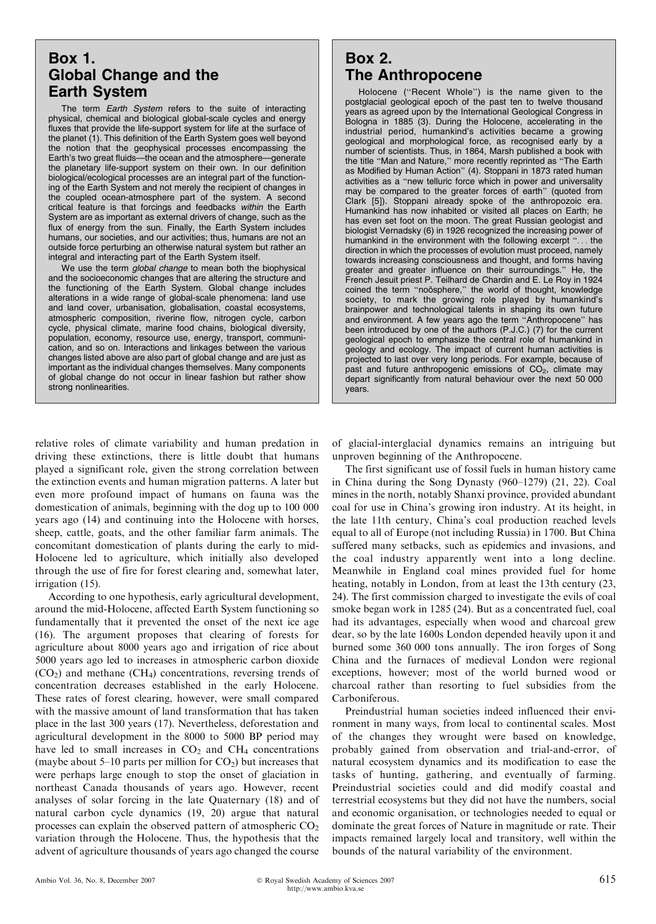### Box 1. Global Change and the Earth System

The term Earth System refers to the suite of interacting physical, chemical and biological global-scale cycles and energy fluxes that provide the life-support system for life at the surface of the planet (1). This definition of the Earth System goes well beyond the notion that the geophysical processes encompassing the Earth's two great fluids—the ocean and the atmosphere—generate the planetary life-support system on their own. In our definition biological/ecological processes are an integral part of the functioning of the Earth System and not merely the recipient of changes in the coupled ocean-atmosphere part of the system. A second critical feature is that forcings and feedbacks within the Earth System are as important as external drivers of change, such as the flux of energy from the sun. Finally, the Earth System includes humans, our societies, and our activities; thus, humans are not an outside force perturbing an otherwise natural system but rather an integral and interacting part of the Earth System itself.

We use the term global change to mean both the biophysical and the socioeconomic changes that are altering the structure and the functioning of the Earth System. Global change includes alterations in a wide range of global-scale phenomena: land use and land cover, urbanisation, globalisation, coastal ecosystems, atmospheric composition, riverine flow, nitrogen cycle, carbon cycle, physical climate, marine food chains, biological diversity, population, economy, resource use, energy, transport, communication, and so on. Interactions and linkages between the various changes listed above are also part of global change and are just as important as the individual changes themselves. Many components of global change do not occur in linear fashion but rather show strong nonlinearities.

relative roles of climate variability and human predation in driving these extinctions, there is little doubt that humans played a significant role, given the strong correlation between the extinction events and human migration patterns. A later but even more profound impact of humans on fauna was the domestication of animals, beginning with the dog up to 100 000 years ago (14) and continuing into the Holocene with horses, sheep, cattle, goats, and the other familiar farm animals. The concomitant domestication of plants during the early to mid-Holocene led to agriculture, which initially also developed through the use of fire for forest clearing and, somewhat later, irrigation (15).

According to one hypothesis, early agricultural development, around the mid-Holocene, affected Earth System functioning so fundamentally that it prevented the onset of the next ice age (16). The argument proposes that clearing of forests for agriculture about 8000 years ago and irrigation of rice about 5000 years ago led to increases in atmospheric carbon dioxide  $(CO<sub>2</sub>)$  and methane  $(CH<sub>4</sub>)$  concentrations, reversing trends of concentration decreases established in the early Holocene. These rates of forest clearing, however, were small compared with the massive amount of land transformation that has taken place in the last 300 years (17). Nevertheless, deforestation and agricultural development in the 8000 to 5000 BP period may have led to small increases in  $CO<sub>2</sub>$  and  $CH<sub>4</sub>$  concentrations (maybe about 5–10 parts per million for  $CO<sub>2</sub>$ ) but increases that were perhaps large enough to stop the onset of glaciation in northeast Canada thousands of years ago. However, recent analyses of solar forcing in the late Quaternary (18) and of natural carbon cycle dynamics (19, 20) argue that natural processes can explain the observed pattern of atmospheric  $CO<sub>2</sub>$ variation through the Holocene. Thus, the hypothesis that the advent of agriculture thousands of years ago changed the course

## Box 2. The Anthropocene

Holocene (''Recent Whole'') is the name given to the postglacial geological epoch of the past ten to twelve thousand years as agreed upon by the International Geological Congress in Bologna in 1885 (3). During the Holocene, accelerating in the industrial period, humankind's activities became a growing geological and morphological force, as recognised early by a number of scientists. Thus, in 1864, Marsh published a book with the title ''Man and Nature,'' more recently reprinted as ''The Earth as Modified by Human Action'' (4). Stoppani in 1873 rated human activities as a ''new telluric force which in power and universality may be compared to the greater forces of earth'' (quoted from Clark [5]). Stoppani already spoke of the anthropozoic era. Humankind has now inhabited or visited all places on Earth; he has even set foot on the moon. The great Russian geologist and biologist Vernadsky (6) in 1926 recognized the increasing power of humankind in the environment with the following excerpt ''... the direction in which the processes of evolution must proceed, namely towards increasing consciousness and thought, and forms having greater and greater influence on their surroundings.'' He, the French Jesuit priest P. Teilhard de Chardin and E. Le Roy in 1924 coined the term "noösphere," the world of thought, knowledge society, to mark the growing role played by humankind's brainpower and technological talents in shaping its own future and environment. A few years ago the term ''Anthropocene'' has been introduced by one of the authors (P.J.C.) (7) for the current geological epoch to emphasize the central role of humankind in geology and ecology. The impact of current human activities is projected to last over very long periods. For example, because of past and future anthropogenic emissions of  $CO<sub>2</sub>$ , climate may depart significantly from natural behaviour over the next 50 000 years.

of glacial-interglacial dynamics remains an intriguing but unproven beginning of the Anthropocene.

The first significant use of fossil fuels in human history came in China during the Song Dynasty (960–1279) (21, 22). Coal mines in the north, notably Shanxi province, provided abundant coal for use in China's growing iron industry. At its height, in the late 11th century, China's coal production reached levels equal to all of Europe (not including Russia) in 1700. But China suffered many setbacks, such as epidemics and invasions, and the coal industry apparently went into a long decline. Meanwhile in England coal mines provided fuel for home heating, notably in London, from at least the 13th century (23, 24). The first commission charged to investigate the evils of coal smoke began work in 1285 (24). But as a concentrated fuel, coal had its advantages, especially when wood and charcoal grew dear, so by the late 1600s London depended heavily upon it and burned some 360 000 tons annually. The iron forges of Song China and the furnaces of medieval London were regional exceptions, however; most of the world burned wood or charcoal rather than resorting to fuel subsidies from the Carboniferous.

Preindustrial human societies indeed influenced their environment in many ways, from local to continental scales. Most of the changes they wrought were based on knowledge, probably gained from observation and trial-and-error, of natural ecosystem dynamics and its modification to ease the tasks of hunting, gathering, and eventually of farming. Preindustrial societies could and did modify coastal and terrestrial ecosystems but they did not have the numbers, social and economic organisation, or technologies needed to equal or dominate the great forces of Nature in magnitude or rate. Their impacts remained largely local and transitory, well within the bounds of the natural variability of the environment.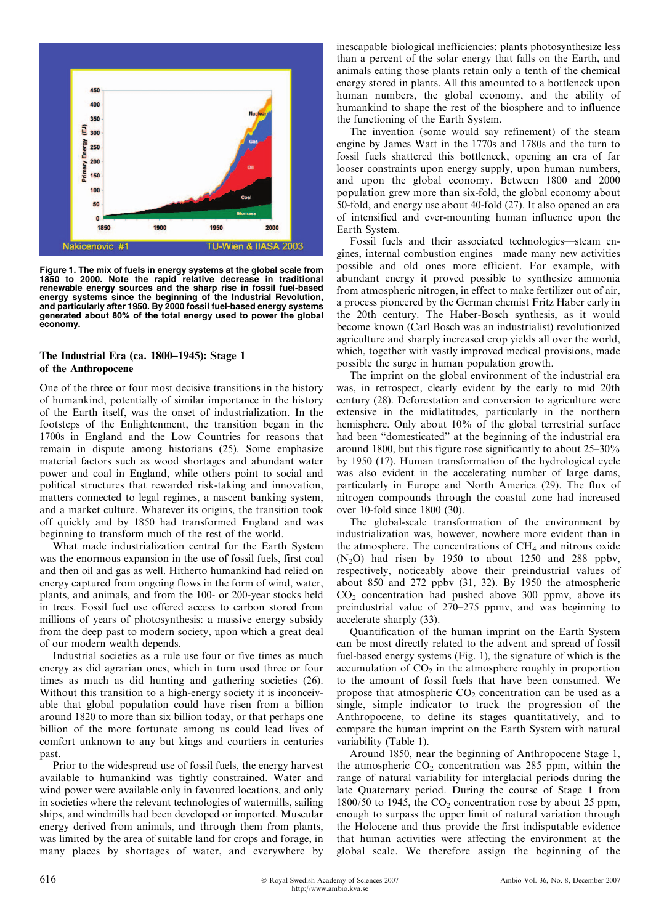

Figure 1. The mix of fuels in energy systems at the global scale from 1850 to 2000. Note the rapid relative decrease in traditional renewable energy sources and the sharp rise in fossil fuel-based energy systems since the beginning of the Industrial Revolution, and particularly after 1950. By 2000 fossil fuel-based energy systems generated about 80% of the total energy used to power the global economy.

### The Industrial Era (ca. 1800–1945): Stage 1 of the Anthropocene

One of the three or four most decisive transitions in the history of humankind, potentially of similar importance in the history of the Earth itself, was the onset of industrialization. In the footsteps of the Enlightenment, the transition began in the 1700s in England and the Low Countries for reasons that remain in dispute among historians (25). Some emphasize material factors such as wood shortages and abundant water power and coal in England, while others point to social and political structures that rewarded risk-taking and innovation, matters connected to legal regimes, a nascent banking system, and a market culture. Whatever its origins, the transition took off quickly and by 1850 had transformed England and was beginning to transform much of the rest of the world.

What made industrialization central for the Earth System was the enormous expansion in the use of fossil fuels, first coal and then oil and gas as well. Hitherto humankind had relied on energy captured from ongoing flows in the form of wind, water, plants, and animals, and from the 100- or 200-year stocks held in trees. Fossil fuel use offered access to carbon stored from millions of years of photosynthesis: a massive energy subsidy from the deep past to modern society, upon which a great deal of our modern wealth depends.

Industrial societies as a rule use four or five times as much energy as did agrarian ones, which in turn used three or four times as much as did hunting and gathering societies (26). Without this transition to a high-energy society it is inconceivable that global population could have risen from a billion around 1820 to more than six billion today, or that perhaps one billion of the more fortunate among us could lead lives of comfort unknown to any but kings and courtiers in centuries past.

Prior to the widespread use of fossil fuels, the energy harvest available to humankind was tightly constrained. Water and wind power were available only in favoured locations, and only in societies where the relevant technologies of watermills, sailing ships, and windmills had been developed or imported. Muscular energy derived from animals, and through them from plants, was limited by the area of suitable land for crops and forage, in many places by shortages of water, and everywhere by

inescapable biological inefficiencies: plants photosynthesize less than a percent of the solar energy that falls on the Earth, and animals eating those plants retain only a tenth of the chemical energy stored in plants. All this amounted to a bottleneck upon human numbers, the global economy, and the ability of humankind to shape the rest of the biosphere and to influence the functioning of the Earth System.

The invention (some would say refinement) of the steam engine by James Watt in the 1770s and 1780s and the turn to fossil fuels shattered this bottleneck, opening an era of far looser constraints upon energy supply, upon human numbers, and upon the global economy. Between 1800 and 2000 population grew more than six-fold, the global economy about 50-fold, and energy use about 40-fold (27). It also opened an era of intensified and ever-mounting human influence upon the Earth System.

Fossil fuels and their associated technologies—steam engines, internal combustion engines—made many new activities possible and old ones more efficient. For example, with abundant energy it proved possible to synthesize ammonia from atmospheric nitrogen, in effect to make fertilizer out of air, a process pioneered by the German chemist Fritz Haber early in the 20th century. The Haber-Bosch synthesis, as it would become known (Carl Bosch was an industrialist) revolutionized agriculture and sharply increased crop yields all over the world, which, together with vastly improved medical provisions, made possible the surge in human population growth.

The imprint on the global environment of the industrial era was, in retrospect, clearly evident by the early to mid 20th century (28). Deforestation and conversion to agriculture were extensive in the midlatitudes, particularly in the northern hemisphere. Only about 10% of the global terrestrial surface had been ''domesticated'' at the beginning of the industrial era around 1800, but this figure rose significantly to about 25–30% by 1950 (17). Human transformation of the hydrological cycle was also evident in the accelerating number of large dams, particularly in Europe and North America (29). The flux of nitrogen compounds through the coastal zone had increased over 10-fold since 1800 (30).

The global-scale transformation of the environment by industrialization was, however, nowhere more evident than in the atmosphere. The concentrations of  $CH<sub>4</sub>$  and nitrous oxide  $(N_2O)$  had risen by 1950 to about 1250 and 288 ppbv, respectively, noticeably above their preindustrial values of about 850 and 272 ppbv (31, 32). By 1950 the atmospheric  $CO<sub>2</sub>$  concentration had pushed above 300 ppmv, above its preindustrial value of 270–275 ppmv, and was beginning to accelerate sharply (33).

Quantification of the human imprint on the Earth System can be most directly related to the advent and spread of fossil fuel-based energy systems (Fig. 1), the signature of which is the accumulation of  $CO<sub>2</sub>$  in the atmosphere roughly in proportion to the amount of fossil fuels that have been consumed. We propose that atmospheric  $CO<sub>2</sub>$  concentration can be used as a single, simple indicator to track the progression of the Anthropocene, to define its stages quantitatively, and to compare the human imprint on the Earth System with natural variability (Table 1).

Around 1850, near the beginning of Anthropocene Stage 1, the atmospheric  $CO<sub>2</sub>$  concentration was 285 ppm, within the range of natural variability for interglacial periods during the late Quaternary period. During the course of Stage 1 from  $1800/50$  to 1945, the  $CO<sub>2</sub>$  concentration rose by about 25 ppm, enough to surpass the upper limit of natural variation through the Holocene and thus provide the first indisputable evidence that human activities were affecting the environment at the global scale. We therefore assign the beginning of the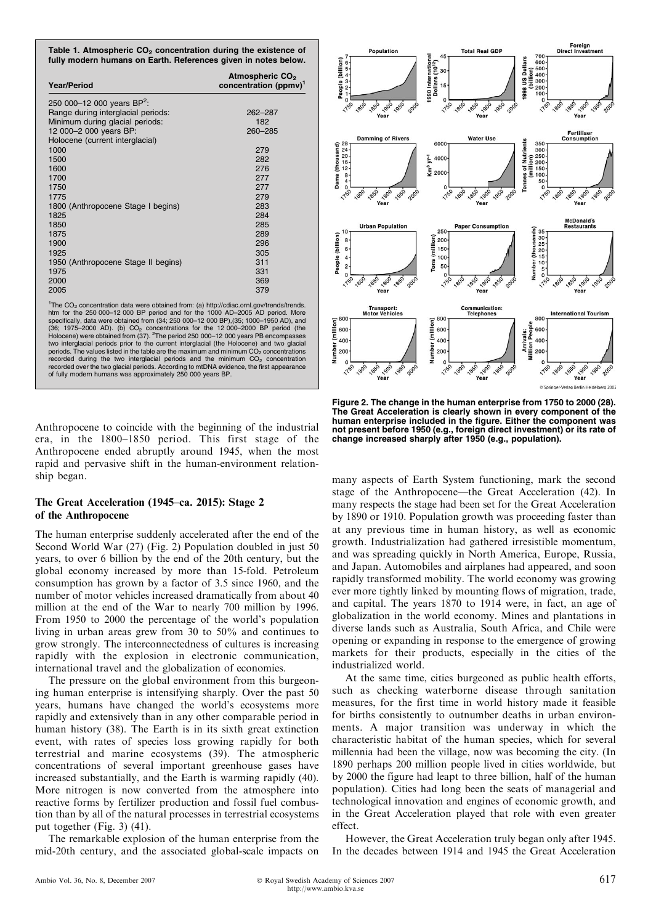Table 1. Atmospheric  $CO<sub>2</sub>$  concentration during the existence of fully modern humans on Earth. References given in notes below.

| <b>Year/Period</b>                     | Atmospheric CO <sub>2</sub><br>concentration ( $ppmv$ ) <sup>1</sup> |
|----------------------------------------|----------------------------------------------------------------------|
| 250 000-12 000 years BP <sup>2</sup> : |                                                                      |
| Range during interglacial periods:     | 262-287                                                              |
| Minimum during glacial periods:        | 182                                                                  |
| 12 000-2 000 years BP:                 | 260-285                                                              |
| Holocene (current interglacial)        |                                                                      |
| 1000                                   | 279                                                                  |
| 1500                                   | 282                                                                  |
| 1600                                   | 276                                                                  |
| 1700                                   | 277                                                                  |
| 1750                                   | 277                                                                  |
| 1775                                   | 279                                                                  |
| 1800 (Anthropocene Stage I begins)     | 283                                                                  |
| 1825                                   | 284                                                                  |
| 1850                                   | 285                                                                  |
| 1875                                   | 289                                                                  |
| 1900                                   | 296                                                                  |
| 1925                                   | 305                                                                  |
| 1950 (Anthropocene Stage II begins)    | 311                                                                  |
| 1975                                   | 331                                                                  |
| 2000                                   | 369                                                                  |
| 2005                                   | 379                                                                  |

<sup>1</sup>The CO<sub>2</sub> concentration data were obtained from: (a) http://cdiac.ornl.gov/trends/trends. htm for the 250 000–12 000 BP period and for the 1000 AD–2005 AD period. More<br>specifically, data were obtained from (34; 250 000–12 000 BP),(35; 1000–1950 AD), and<br>(36; 1975–2000 AD). (b) CO<sub>2</sub> concentrations for the 12 00 two interglacial periods prior to the current interglacial (the Holocene) and two glacial<br>periods. The values listed in the table are the maximum and minimum CO<sub>2</sub> concentrations recorded during the two interglacial periods and the minimum  $CO<sub>2</sub>$  concentration recorded over the two glacial periods. According to mtDNA evidence, the first appearance of fully modern humans was approximately 250 000 years BP.

Anthropocene to coincide with the beginning of the industrial era, in the 1800–1850 period. This first stage of the Anthropocene ended abruptly around 1945, when the most rapid and pervasive shift in the human-environment relationship began.

### The Great Acceleration (1945–ca. 2015): Stage 2 of the Anthropocene

The human enterprise suddenly accelerated after the end of the Second World War (27) (Fig. 2) Population doubled in just 50 years, to over 6 billion by the end of the 20th century, but the global economy increased by more than 15-fold. Petroleum consumption has grown by a factor of 3.5 since 1960, and the number of motor vehicles increased dramatically from about 40 million at the end of the War to nearly 700 million by 1996. From 1950 to 2000 the percentage of the world's population living in urban areas grew from 30 to 50% and continues to grow strongly. The interconnectedness of cultures is increasing rapidly with the explosion in electronic communication, international travel and the globalization of economies.

The pressure on the global environment from this burgeoning human enterprise is intensifying sharply. Over the past 50 years, humans have changed the world's ecosystems more rapidly and extensively than in any other comparable period in human history (38). The Earth is in its sixth great extinction event, with rates of species loss growing rapidly for both terrestrial and marine ecosystems (39). The atmospheric concentrations of several important greenhouse gases have increased substantially, and the Earth is warming rapidly (40). More nitrogen is now converted from the atmosphere into reactive forms by fertilizer production and fossil fuel combustion than by all of the natural processes in terrestrial ecosystems put together (Fig. 3) (41).

The remarkable explosion of the human enterprise from the mid-20th century, and the associated global-scale impacts on



Figure 2. The change in the human enterprise from 1750 to 2000 (28). The Great Acceleration is clearly shown in every component of the human enterprise included in the figure. Either the component was not present before 1950 (e.g., foreign direct investment) or its rate of change increased sharply after 1950 (e.g., population).

many aspects of Earth System functioning, mark the second stage of the Anthropocene—the Great Acceleration (42). In many respects the stage had been set for the Great Acceleration by 1890 or 1910. Population growth was proceeding faster than at any previous time in human history, as well as economic growth. Industrialization had gathered irresistible momentum, and was spreading quickly in North America, Europe, Russia, and Japan. Automobiles and airplanes had appeared, and soon rapidly transformed mobility. The world economy was growing ever more tightly linked by mounting flows of migration, trade, and capital. The years 1870 to 1914 were, in fact, an age of globalization in the world economy. Mines and plantations in diverse lands such as Australia, South Africa, and Chile were opening or expanding in response to the emergence of growing markets for their products, especially in the cities of the industrialized world.

At the same time, cities burgeoned as public health efforts, such as checking waterborne disease through sanitation measures, for the first time in world history made it feasible for births consistently to outnumber deaths in urban environments. A major transition was underway in which the characteristic habitat of the human species, which for several millennia had been the village, now was becoming the city. (In 1890 perhaps 200 million people lived in cities worldwide, but by 2000 the figure had leapt to three billion, half of the human population). Cities had long been the seats of managerial and technological innovation and engines of economic growth, and in the Great Acceleration played that role with even greater effect.

However, the Great Acceleration truly began only after 1945. In the decades between 1914 and 1945 the Great Acceleration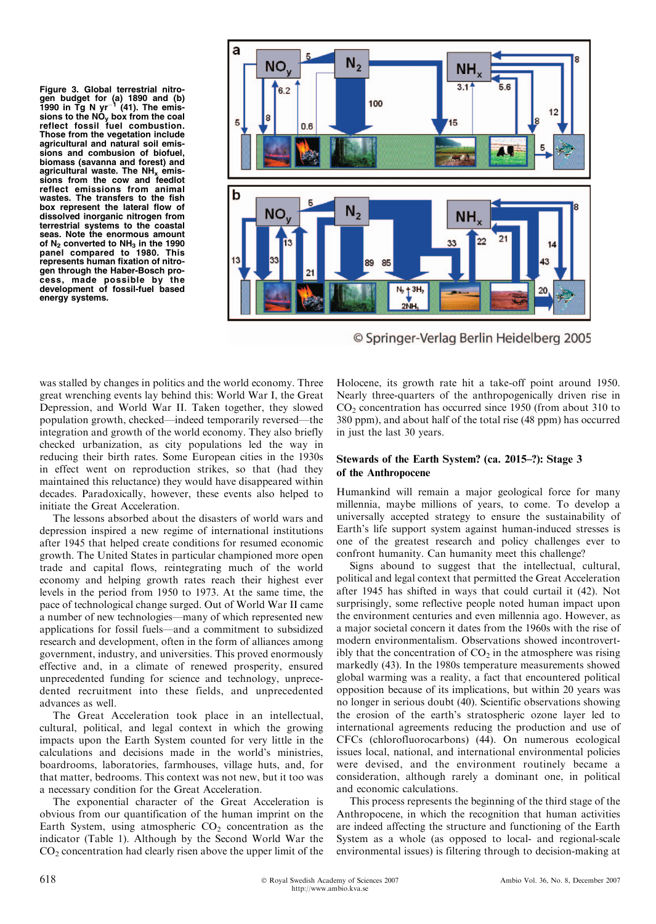Figure 3. Global terrestrial nitrogen budget for (a) 1890 and (b) 1990 in Tg N yr-<sup>1</sup> (41). The emissions to the NO<sub>y</sub> box from the coal reflect fossil fuel combustion. Those from the vegetation include agricultural and natural soil emissions and combusion of biofuel biomass (savanna and forest) and agricultural waste. The  $NH<sub>x</sub>$  emissions from the cow and feedlot reflect emissions from animal wastes. The transfers to the fish box represent the lateral flow of dissolved inorganic nitrogen from terrestrial systems to the coastal seas. Note the enormous amount of N<sub>2</sub> converted to NH<sub>3</sub> in the 1990<br>panel compared to 1980. This represents human fixation of nitrogen through the Haber-Bosch process, made possible by the development of fossil-fuel based energy systems.



© Springer-Verlag Berlin Heidelberg 2005

was stalled by changes in politics and the world economy. Three great wrenching events lay behind this: World War I, the Great Depression, and World War II. Taken together, they slowed population growth, checked—indeed temporarily reversed—the integration and growth of the world economy. They also briefly checked urbanization, as city populations led the way in reducing their birth rates. Some European cities in the 1930s in effect went on reproduction strikes, so that (had they maintained this reluctance) they would have disappeared within decades. Paradoxically, however, these events also helped to initiate the Great Acceleration.

The lessons absorbed about the disasters of world wars and depression inspired a new regime of international institutions after 1945 that helped create conditions for resumed economic growth. The United States in particular championed more open trade and capital flows, reintegrating much of the world economy and helping growth rates reach their highest ever levels in the period from 1950 to 1973. At the same time, the pace of technological change surged. Out of World War II came a number of new technologies—many of which represented new applications for fossil fuels—and a commitment to subsidized research and development, often in the form of alliances among government, industry, and universities. This proved enormously effective and, in a climate of renewed prosperity, ensured unprecedented funding for science and technology, unprecedented recruitment into these fields, and unprecedented advances as well.

The Great Acceleration took place in an intellectual, cultural, political, and legal context in which the growing impacts upon the Earth System counted for very little in the calculations and decisions made in the world's ministries, boardrooms, laboratories, farmhouses, village huts, and, for that matter, bedrooms. This context was not new, but it too was a necessary condition for the Great Acceleration.

The exponential character of the Great Acceleration is obvious from our quantification of the human imprint on the Earth System, using atmospheric  $CO<sub>2</sub>$  concentration as the indicator (Table 1). Although by the Second World War the  $CO<sub>2</sub>$  concentration had clearly risen above the upper limit of the Holocene, its growth rate hit a take-off point around 1950. Nearly three-quarters of the anthropogenically driven rise in  $CO<sub>2</sub>$  concentration has occurred since 1950 (from about 310 to 380 ppm), and about half of the total rise (48 ppm) has occurred in just the last 30 years.

### Stewards of the Earth System? (ca. 2015–?): Stage 3 of the Anthropocene

Humankind will remain a major geological force for many millennia, maybe millions of years, to come. To develop a universally accepted strategy to ensure the sustainability of Earth's life support system against human-induced stresses is one of the greatest research and policy challenges ever to confront humanity. Can humanity meet this challenge?

Signs abound to suggest that the intellectual, cultural, political and legal context that permitted the Great Acceleration after 1945 has shifted in ways that could curtail it (42). Not surprisingly, some reflective people noted human impact upon the environment centuries and even millennia ago. However, as a major societal concern it dates from the 1960s with the rise of modern environmentalism. Observations showed incontrovertibly that the concentration of  $CO<sub>2</sub>$  in the atmosphere was rising markedly (43). In the 1980s temperature measurements showed global warming was a reality, a fact that encountered political opposition because of its implications, but within 20 years was no longer in serious doubt (40). Scientific observations showing the erosion of the earth's stratospheric ozone layer led to international agreements reducing the production and use of CFCs (chlorofluorocarbons) (44). On numerous ecological issues local, national, and international environmental policies were devised, and the environment routinely became a consideration, although rarely a dominant one, in political and economic calculations.

This process represents the beginning of the third stage of the Anthropocene, in which the recognition that human activities are indeed affecting the structure and functioning of the Earth System as a whole (as opposed to local- and regional-scale environmental issues) is filtering through to decision-making at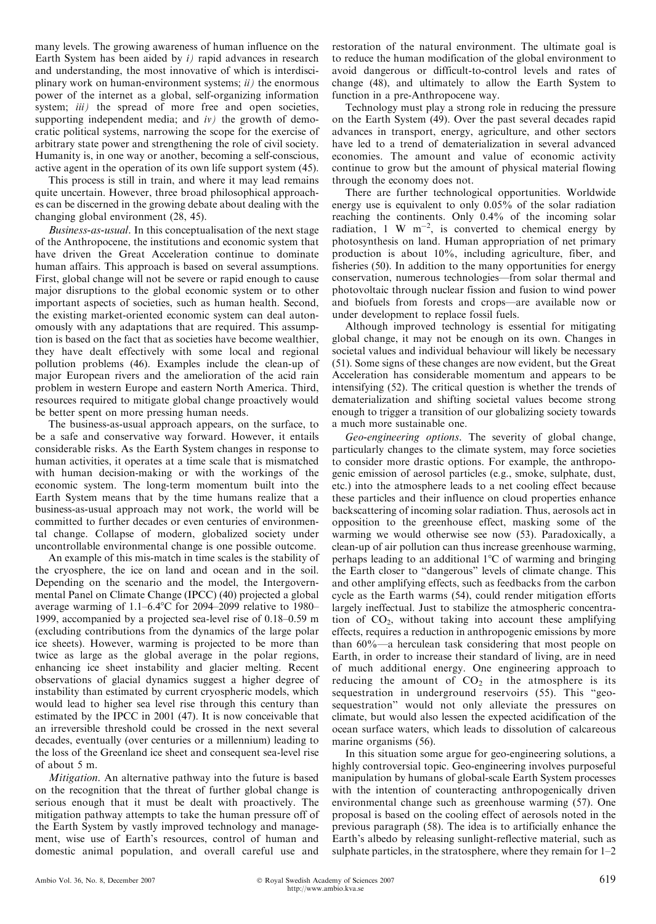many levels. The growing awareness of human influence on the Earth System has been aided by  $i$  rapid advances in research and understanding, the most innovative of which is interdisciplinary work on human-environment systems;  $ii)$  the enormous power of the internet as a global, self-organizing information system; *iii*) the spread of more free and open societies, supporting independent media; and  $iv$ ) the growth of democratic political systems, narrowing the scope for the exercise of arbitrary state power and strengthening the role of civil society. Humanity is, in one way or another, becoming a self-conscious, active agent in the operation of its own life support system (45).

This process is still in train, and where it may lead remains quite uncertain. However, three broad philosophical approaches can be discerned in the growing debate about dealing with the changing global environment (28, 45).

Business-as-usual. In this conceptualisation of the next stage of the Anthropocene, the institutions and economic system that have driven the Great Acceleration continue to dominate human affairs. This approach is based on several assumptions. First, global change will not be severe or rapid enough to cause major disruptions to the global economic system or to other important aspects of societies, such as human health. Second, the existing market-oriented economic system can deal autonomously with any adaptations that are required. This assumption is based on the fact that as societies have become wealthier, they have dealt effectively with some local and regional pollution problems (46). Examples include the clean-up of major European rivers and the amelioration of the acid rain problem in western Europe and eastern North America. Third, resources required to mitigate global change proactively would be better spent on more pressing human needs.

The business-as-usual approach appears, on the surface, to be a safe and conservative way forward. However, it entails considerable risks. As the Earth System changes in response to human activities, it operates at a time scale that is mismatched with human decision-making or with the workings of the economic system. The long-term momentum built into the Earth System means that by the time humans realize that a business-as-usual approach may not work, the world will be committed to further decades or even centuries of environmental change. Collapse of modern, globalized society under uncontrollable environmental change is one possible outcome.

An example of this mis-match in time scales is the stability of the cryosphere, the ice on land and ocean and in the soil. Depending on the scenario and the model, the Intergovernmental Panel on Climate Change (IPCC) (40) projected a global average warming of  $1.1-6.4$ °C for 2094–2099 relative to 1980– 1999, accompanied by a projected sea-level rise of 0.18–0.59 m (excluding contributions from the dynamics of the large polar ice sheets). However, warming is projected to be more than twice as large as the global average in the polar regions, enhancing ice sheet instability and glacier melting. Recent observations of glacial dynamics suggest a higher degree of instability than estimated by current cryospheric models, which would lead to higher sea level rise through this century than estimated by the IPCC in 2001 (47). It is now conceivable that an irreversible threshold could be crossed in the next several decades, eventually (over centuries or a millennium) leading to the loss of the Greenland ice sheet and consequent sea-level rise of about 5 m.

Mitigation. An alternative pathway into the future is based on the recognition that the threat of further global change is serious enough that it must be dealt with proactively. The mitigation pathway attempts to take the human pressure off of the Earth System by vastly improved technology and management, wise use of Earth's resources, control of human and domestic animal population, and overall careful use and

restoration of the natural environment. The ultimate goal is to reduce the human modification of the global environment to avoid dangerous or difficult-to-control levels and rates of change (48), and ultimately to allow the Earth System to function in a pre-Anthropocene way.

Technology must play a strong role in reducing the pressure on the Earth System (49). Over the past several decades rapid advances in transport, energy, agriculture, and other sectors have led to a trend of dematerialization in several advanced economies. The amount and value of economic activity continue to grow but the amount of physical material flowing through the economy does not.

There are further technological opportunities. Worldwide energy use is equivalent to only 0.05% of the solar radiation reaching the continents. Only 0.4% of the incoming solar radiation, 1 W  $m^{-2}$ , is converted to chemical energy by photosynthesis on land. Human appropriation of net primary production is about 10%, including agriculture, fiber, and fisheries (50). In addition to the many opportunities for energy conservation, numerous technologies—from solar thermal and photovoltaic through nuclear fission and fusion to wind power and biofuels from forests and crops—are available now or under development to replace fossil fuels.

Although improved technology is essential for mitigating global change, it may not be enough on its own. Changes in societal values and individual behaviour will likely be necessary (51). Some signs of these changes are now evident, but the Great Acceleration has considerable momentum and appears to be intensifying (52). The critical question is whether the trends of dematerialization and shifting societal values become strong enough to trigger a transition of our globalizing society towards a much more sustainable one.

Geo-engineering options. The severity of global change, particularly changes to the climate system, may force societies to consider more drastic options. For example, the anthropogenic emission of aerosol particles (e.g., smoke, sulphate, dust, etc.) into the atmosphere leads to a net cooling effect because these particles and their influence on cloud properties enhance backscattering of incoming solar radiation. Thus, aerosols act in opposition to the greenhouse effect, masking some of the warming we would otherwise see now (53). Paradoxically, a clean-up of air pollution can thus increase greenhouse warming, perhaps leading to an additional  $1^{\circ}$ C of warming and bringing the Earth closer to ''dangerous'' levels of climate change. This and other amplifying effects, such as feedbacks from the carbon cycle as the Earth warms (54), could render mitigation efforts largely ineffectual. Just to stabilize the atmospheric concentration of  $CO<sub>2</sub>$ , without taking into account these amplifying effects, requires a reduction in anthropogenic emissions by more than 60%—a herculean task considering that most people on Earth, in order to increase their standard of living, are in need of much additional energy. One engineering approach to reducing the amount of  $CO<sub>2</sub>$  in the atmosphere is its sequestration in underground reservoirs (55). This ''geosequestration'' would not only alleviate the pressures on climate, but would also lessen the expected acidification of the ocean surface waters, which leads to dissolution of calcareous marine organisms (56).

In this situation some argue for geo-engineering solutions, a highly controversial topic. Geo-engineering involves purposeful manipulation by humans of global-scale Earth System processes with the intention of counteracting anthropogenically driven environmental change such as greenhouse warming (57). One proposal is based on the cooling effect of aerosols noted in the previous paragraph (58). The idea is to artificially enhance the Earth's albedo by releasing sunlight-reflective material, such as sulphate particles, in the stratosphere, where they remain for 1–2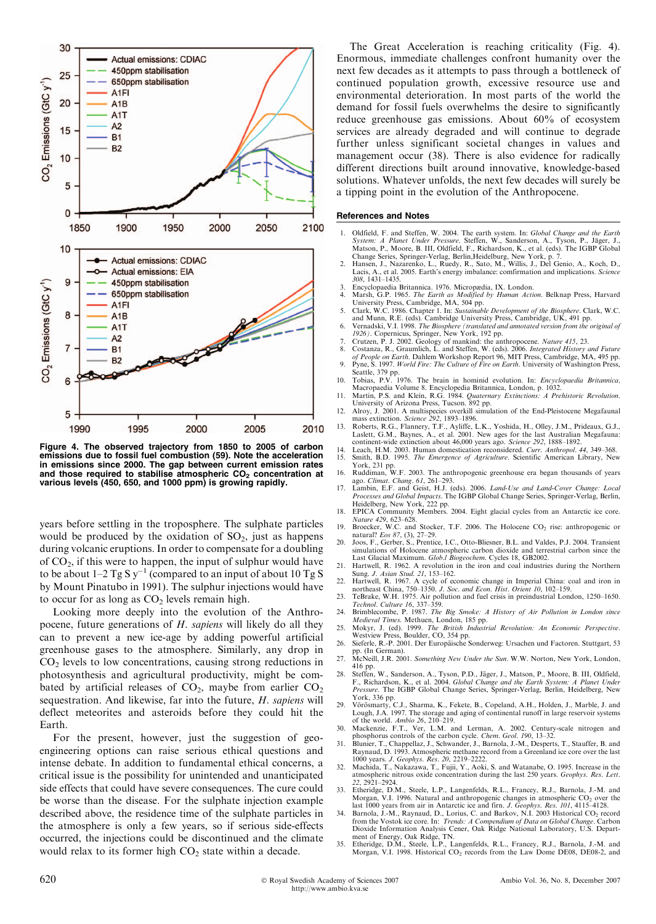

Figure 4. The observed trajectory from 1850 to 2005 of carbon emissions due to fossil fuel combustion (59). Note the acceleration in emissions since 2000. The gap between current emission rates and those required to stabilise atmospheric  $CO<sub>2</sub>$  concentration at various levels (450, 650, and 1000 ppm) is growing rapidly.

years before settling in the troposphere. The sulphate particles would be produced by the oxidation of  $SO<sub>2</sub>$ , just as happens during volcanic eruptions. In order to compensate for a doubling of  $CO<sub>2</sub>$ , if this were to happen, the input of sulphur would have to be about  $1-2$  Tg S y<sup>-1</sup> (compared to an input of about 10 Tg S by Mount Pinatubo in 1991). The sulphur injections would have to occur for as long as  $CO<sub>2</sub>$  levels remain high.

Looking more deeply into the evolution of the Anthropocene, future generations of H. sapiens will likely do all they can to prevent a new ice-age by adding powerful artificial greenhouse gases to the atmosphere. Similarly, any drop in  $CO<sub>2</sub>$  levels to low concentrations, causing strong reductions in photosynthesis and agricultural productivity, might be combated by artificial releases of  $CO<sub>2</sub>$ , maybe from earlier  $CO<sub>2</sub>$ sequestration. And likewise, far into the future, H. sapiens will deflect meteorites and asteroids before they could hit the Earth.

For the present, however, just the suggestion of geoengineering options can raise serious ethical questions and intense debate. In addition to fundamental ethical concerns, a critical issue is the possibility for unintended and unanticipated side effects that could have severe consequences. The cure could be worse than the disease. For the sulphate injection example described above, the residence time of the sulphate particles in the atmosphere is only a few years, so if serious side-effects occurred, the injections could be discontinued and the climate would relax to its former high  $CO<sub>2</sub>$  state within a decade.

The Great Acceleration is reaching criticality (Fig. 4). Enormous, immediate challenges confront humanity over the next few decades as it attempts to pass through a bottleneck of continued population growth, excessive resource use and environmental deterioration. In most parts of the world the demand for fossil fuels overwhelms the desire to significantly reduce greenhouse gas emissions. About 60% of ecosystem services are already degraded and will continue to degrade further unless significant societal changes in values and management occur (38). There is also evidence for radically different directions built around innovative, knowledge-based solutions. Whatever unfolds, the next few decades will surely be a tipping point in the evolution of the Anthropocene.

#### References and Notes

- 1. Oldfield, F. and Steffen, W. 2004. The earth system. In: *Global Change and the Earth* System: A Planet Under Pressure. Steffen, W., Sanderson, A., Tyson, P., Jäger, J., Stager, J., Matson, P., Jager, J., Matson, P., Mo
- Change Series, Springer-Verlag, Berlin, Heidelburg, New York, p. 7.<br>2. Hansen, J., Nazarenko, L., Ruedy, R., Sato, M., Willis, J., Del Genio, A., Koch, D.,<br>Lacis, A., et al. 2005. Earth's energy imbalance: comfirmation and 308, 1431–1435.
- 3. Encyclopaedia Britannica. 1976. Micropædia, IX. London. Marsh, G.P. 1965. The Earth as Modified by Human Action. Belknap Press, Harvard
- University Press, Cambridge, MA, 504 pp.<br>5. Clark, W.C. 1986. Chapter 1. In: Sustainable Development of the Biosphere. Clark, W.C.<br>and Munn, R.E. (eds). Cambridge University Press, Cambridge, UK, 491 pp.
- 6. Vernadski, V.I. 1998. *The Biosphere (translated and annotated version from the original of*<br>1926). Copernicus, Springer, New York, 192 pp.<br>7. Crutzen, P. J. 2002. Geology of mankind: the anthropocene. *Nature 415*, 23.
- 
- 8. Costanza, R., Graumlich, L. and Steffen, W. (eds). 2006. Integrated History and Future of People on Earth. Dahlem Workshop Report 96, MIT Press, Cambridge, MA, 495 pp. 9. Pyne, S. 1997. World Fire: The Culture of Fire on Earth. University of Washington Press,
- Seattle, 379 pp.<br>10. Tobias, P.V. 1976. The brain in hominid evolution. In: Encyclopaedia Britannica,
- Macropaedia Volume 8. Encyclopedia Britannica, London, p. 1032.
- 11. Martin, P.S. and Klein, R.G. 1984. *Quaternary Extinctions: A Prehistoric Revolution.*<br>University of Arizona Press, Tucson. 892 pp.<br>12. Alroy, J. 2001. A multispecies overkill simulation of the End-Pleistocene Megafaun
- mass extinction. *Science 292*, 1893–1896.<br>13. Roberts, R.G., Flannery, T.F., Ayliffe, L.K., Yoshida, H., Olley, J.M., Prideaux, G.J.,<br>Laslett, G.M., Baynes, A., et al. 2001. New ages for the last Australian Megafauna:
- continent-wide extinction about 46,000 years ago. Science 292, 1888–1892. 14. Leach, H.M. 2003. Human domestication reconsidered. Curr. Anthropol. 44, 349–368.
- 15. Smith, B.D. 1995. *The Emergence of Agriculture*. Scientific American Library, New<br>York, 231 pp.<br>16. Ruddiman, W.F. 2003. The anthropogenic greenhouse era began thousands of years
- ago. Climat. Chang. 61, 261–293.
- 17. Lambin, E.F. and Geist, H.J. (eds). 2006. Land-Use and Land-Cover Change: Local Processes and Global Impacts. The IGBP Global Change Series, Springer-Verlag, Berlin,
- Heidelberg, New York, 222 pp. 18. EPICA Community Members. 2004. Eight glacial cycles from an Antarctic ice core. Nature 429, 623–628.
- 19. Broecker, W.C. and Stocker, T.F. 2006. The Holocene CO<sub>2</sub> rise: anthropogenic or natural? *Eos 87*, (3), 27–29.<br>20. Joos, F., Gerber, S., Prentice, I.C., Otto-Bliesner, B.L. and Valdes, P.J. 2004. Transient
- simulations of Holocene atmospheric carbon dioxide and terrestrial carbon since the<br>Last Glacial Maximum. *Glob.l Biogeochem*. Cycles 18, GB2002.
- 21. Hartwell, R. 1962. A revolution in the iron and coal industries during the Northern Sung. *J. Asian Stud. 21*, 153-162.
- 22. Hartwell, R. 1967. A cycle of economic change in Imperial China: coal and iron in northeast China, 750–1350. J. Soc. and Econ. Hist. Orient 10, 102–159.
- 23. TeBrake, W.H. 1975. Air pollution and fuel crisis in preindustrial London, 1250–1650. Technol. Culture 16, 337–359.
- 24. Brimblecombe, P. 1987. The Big Smoke: A History of Air Pollution in London since
- Medieval Times. Methuen, London, 185 pp.<br>25. Mokyr, J. (ed.). 1999. *The British Industrial Revolution: An Economic Perspective.*<br>Westview Press, Boulder, CO, 354 pp.<br>26. Sieferle, R.-P. 2001. Der Europäische Sonderweg: Ur
- pp. (In German).<br>27. McNeill, J.R. 2001. Something New Under the Sun. W.W. Norton, New York, London,
- 416 pp.<br>28. Steffen, W., Sanderson, A., Tyson, P.D., Jäger, J., Matson, P., Moore, B. III, Oldfield,
- F., Richardson, K., et al. 2004. Global Change and the Earth System: A Planet Under<br>Pressure. The IGBP Global Change Series, Springer-Verlag, Berlin, Heidelberg, New York, 336 pp.
- 29. Vörösmarty, C.J., Sharma, K., Fekete, B., Copeland, A.H., Holden, J., Marble, J. and Lough, J.A. 1997. The storage and aging of continental runoff in large reservoir systems of the world. Ambio 26, 210–219.
- 30. Mackenzie, F.T., Ver, L.M. and Lerman, A. 2002. Century-scale nitrogen and phosphorus controls of the carbon cycle. *Chem. Geol. 190*, 13–32. Blunier, T., Chappellaz, J., Schwander, J., Barnola, J.-M., Desperts, T., St
- 1000 years. J. Geophys. Res. 20, 2219-2222.<br>Machida, T., Nakazawa, T., Fujii, Y., Aoki, S. and Watanabe, O. 1995. Increase in the
- 32. Machida, T., Nakazawa, T., Fujii, Y., Aoki, S. and Watanabe, O. 1995. Increase in the atmospheric nitrous oxide concentration during the last 250 years. Geophys. Res. Lett. 22, 2921–2924.
- 33. Etheridge, D.M., Steele, L.P., Langenfelds, R.L., Francey, R.J., Barnola, J.-M. and Morgan, V.I. 1996. Natural and anthropogenic changes in atmospheric CO<sub>2</sub> over the
- last 1000 years from air in Antarctic ice and firn. *J. Geophys. Res. 101*, 4115-4128.<br>34. Barnola, J.-M., Raynaud, D., Lorius, C. and Barkov, N.I. 2003 Historical CO<sub>2</sub> record<br>from the Vostok ice core. In: *Trends: A Comp*
- ment of Energy, Oak Ridge, TN.<br>35. Etheridge, D.M., Steele, L.P., Langenfelds, R.L., Francey, R.J., Barnola, J.-M. and<br>Morgan, V.I. 1998. Historical CO<sub>2</sub> records from the Law Dome DE08, DE08-2, and